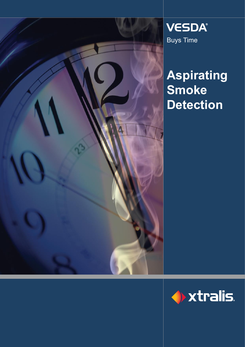

**VESDA®** Buys Time

## **Aspirating Smoke Detection**

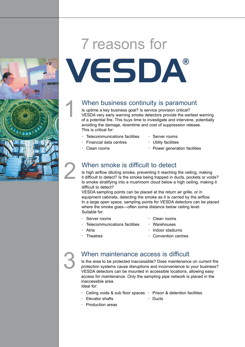## 7 reasons for

# VESDA®

#### When business continuity is paramount

Is uptime a key business goal? Is service provision critical? VESDA very early warning smoke detectors provide the earliest warning of a potential fire. This buys time to investigate and intervene, potentially avoiding the damage, downtime and cost of suppression release. This is critical for:

- Telecommunications facilities Server rooms
	-
	- Financial data centres Utility facilities
- 
- 
- Clean rooms Power generation facilities

#### When smoke is difficult to detect

Is high airflow diluting smoke, preventing it reaching the ceiling, making it difficult to detect? Is the smoke being trapped in ducts, pockets or voids? Is smoke stratifying into a mushroom cloud below a high ceiling, making it difficult to detect?

VESDA sampling points can be placed at the return air grille, or in equipment cabinets, detecting the smoke as it is carried by the airflow. In a large open space, sampling points for VESDA detectors can be placed where the smoke goes—often some distance below ceiling level. Suitable for:

- 
- Server rooms Clean rooms
- Telecommunications facilities Warehouses
	-
	- Atria Indoor stadiums
- Theatres Convention centres

#### When maintenance access is difficult

Is the area to be protected inaccessible? Does maintenance on current fire protection systems cause disruptions and inconvenience to your business? VESDA detectors can be mounted in accessible locations, allowing easy access for maintenance. Only the sampling pipe network is placed in the inaccessible area. Ideal for:

- Ceiling voids & sub floor spaces Prison & detention facilities
- Elevator shafts Ducts
- Production areas

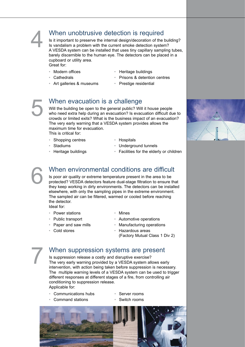#### When unobtrusive detection is required

Is it important to preserve the internal design/decoration of the building? Is vandalism a problem with the current smoke detection system? A VESDA system can be installed that uses tiny capillary sampling tubes, barely discernible to the human eye. The detectors can be placed in a cupboard or utility area. Great for:

- - Modern offices  **Heritage buildings**
	- Cathedrals Prisons & detention centres
- Art galleries & museums Prestige residential

#### When evacuation is a challenge

Will the building be open to the general public? Will it house people who need extra help during an evacuation? Is evacuation difficult due to crowds or limited exits? What is the business impact of an evacuation? The very early warning that a VESDA system provides allows the maximum time for evacuation.

This is critical for:

- Shopping centres Hospitals
- 
- 
- 
- **Stadiums** Underground tunnels
- Heritage buildings  **Facilities for the elderly or children**

#### When environmental conditions are difficult

Is poor air quality or extreme temperature present in the area to be protected? VESDA detectors feature dual-stage filtration to ensure that they keep working in dirty environments. The detectors can be installed elsewhere, with only the sampling pipes in the extreme environment. The sampled air can be filtered, warmed or cooled before reaching the detector.

Ideal for:

- Power stations Mines
- 
- 
- 
- 
- Public transport Automotive operations
	- Paper and saw mills Manufacturing operations
- Cold stores **Hazardous areas** (Factory Mutual Class 1 Div 2)

## 7

#### When suppression systems are present

Is suppression release a costly and disruptive exercise? The very early warning provided by a VESDA system allows early intervention, with action being taken before suppression is necessary. The multiple warning levels of a VESDA system can be used to trigger different responses at different stages of a fire, from controlling air conditioning to suppression release.

Applicable for:

- Communications hubs Server rooms
	-



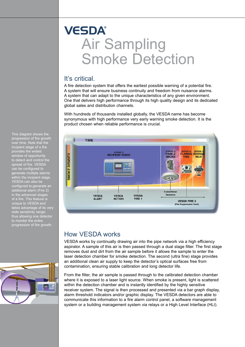## **VESDA®** Air Sampling Smoke Detection

#### It's critical.

A fire detection system that offers the earliest possible warning of a potential fire. A system that will ensure business continuity and freedom from nuisance alarms. A system that can adapt to the unique characteristics of any given environment. One that delivers high performance through its high quality design and its dedicated global sales and distribution channels.

With hundreds of thousands installed globally, the VESDA name has become synonymous with high performance very early warning smoke detection. It is the product chosen when reliable performance is crucial.



#### How VESDA works

VESDA works by continually drawing air into the pipe network via a high efficiency aspirator. A sample of this air is then passed through a dual stage filter. The first stage removes dust and dirt from the air sample before it allows the sample to enter the laser detection chamber for smoke detection. The second (ultra fine) stage provides an additional clean air supply to keep the detector's optical surfaces free from contamination, ensuring stable calibration and long detector life.

From the filter, the air sample is passed through to the calibrated detection chamber where it is exposed to a laser light source. When smoke is present, light is scattered within the detection chamber and is instantly identified by the highly sensitive receiver system. The signal is then processed and presented via a bar graph display, alarm threshold indicators and/or graphic display. The VESDA detectors are able to communicate this information to a fire alarm control panel, a software management system or a building management system via relays or a High Level Interface (HLI).

This diagram shows the progression of fire growth over time. Note that the incipient stage of a fire provides the widest window of opportunity to detect and control the spread of fire. VESDA can be configured to generate multiple alarms wate malipic alamis<br>hin the incipient stage. VESDA can also be configured to generate an additional alarm (Fire 2) in the advanced stages of a fire. This feature is unique to VESDA and takes advantage of its very takes advantage or reserved. thus allowing one detector progression of fire growth.

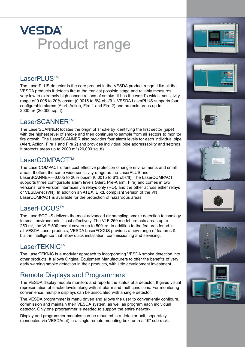## **VESDA®** Product range

#### LaserPLUS™

The LaserPLUS detector is the core product in the VESDA product range. Like all the VESDA products it detects fire at the earliest possible stage and reliably measures very low to extremely high concentrations of smoke. It has the world's widest sensitivity range of 0.005 to 20% obs/m (0.0015 to 6% obs/ft ). VESDA LaserPLUS supports four configurable alarms (Alert, Action, Fire 1 and Fire 2) and protects areas up to 2000 m2 (20,000 sq. ft).

#### LaserSCANNFR™

The LaserSCANNER locates the origin of smoke by identifying the first sector (pipe) with the highest level of smoke and then continues to sample from all sectors to monitor fire growth. The LaserSCANNER also provides four alarm levels for each individual pipe (Alert, Action, Fire 1 and Fire 2) and provides individual pipe addressability and settings. It protects areas up to 2000  $m<sup>2</sup>$  (20,000 sq. ft).

#### LaserCOMPACT™

The LaserCOMPACT offers cost effective protection of single environments and small areas. It offers the same wide sensitivity range as the LaserPLUS and LaserSCANNER—0.005 to 20% obs/m (0.0015 to 6% obs/ft). The LaserCOMPACT supports three configurable alarm levels (Alert, Pre-Alarm, Fire) and comes in two versions, one version interfaces via relays only (RO), and the other across either relays or VESDAnet (VN). In addition an ATEX, E xd, compliant version of the VN LaserCOMPACT is available for the protection of hazardous areas.

#### LaserFOCUS™

The LaserFOCUS delivers the most advanced air sampling smoke detection technology to small environments—cost effectively. The VLF-250 model protects areas up to 250 m2, the VLF-500 model covers up to 500 m2. In addition to the features found in all VESDA Laser products, VESDA LaserFOCUS provides a new range of features & built-in intelligence that allow quick installation, commissioning and servicing.

#### LaserTEKNIC™

The LaserTEKNIC is a modular approach to incorporating VESDA smoke detection into other products. It allows Original Equipment Manufacturers to offer the benefits of very early warning smoke detection in their products, with little development investment.

#### Remote Displays and Programmers

The VESDA display module monitors and reports the status of a detector. It gives visual representation of smoke levels along with all alarm and fault conditions. For monitoring convenience, multiple displays can be associated with a single detector.

The VESDA programmer is menu driven and allows the user to conveniently configure, commission and maintain their VESDA system, as well as program each individual detector. Only one programmer is needed to support the entire network.

Display and programmer modules can be mounted in a detector unit, separately (connected via VESDAnet) in a single remote mounting box, or in a 19" sub rack.

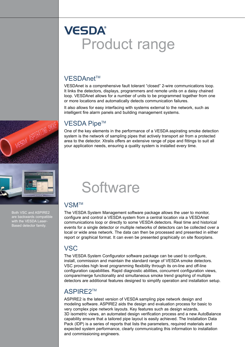### **VESDA®** Product range

#### VESDAnet™

VESDAnet is a comprehensive fault tolerant "closed" 2-wire communications loop. It links the detectors, displays, programmers and remote units on a daisy chained loop. VESDAnet allows for a number of units to be programmed together from one or more locations and automatically detects communication failures.

It also allows for easy interfacing with systems external to the network, such as intelligent fire alarm panels and building management systems.

#### VESDA Pipe™

One of the key elements in the performance of a VESDA aspirating smoke detection system is the network of sampling pipes that actively transport air from a protected area to the detector. Xtralis offers an extensive range of pipe and fittings to suit all your application needs, ensuring a quality system is installed every time.





Both VSC and ASPIRE2 are backwards compatible with the VESDA Laser-Based detector family.

## **Software**

#### **VSM™**

The VESDA System Management software package allows the user to monitor, configure and control a VESDA system from a central location via a VESDAnet communications loop or directly to some VESDA detectors. Real time and historical events for a single detector or multiple networks of detectors can be collected over a local or wide area network. The data can then be processed and presented in either report or graphical format. It can even be presented graphically on site floorplans.

#### **VSC**

The VESDA System Configurator software package can be used to configure, install, commission and maintain the standard range of VESDA smoke detectors. VSC provides high level programming flexibility through its on-line and off-line configuration capabilities. Rapid diagnostic abilities, concurrent configuration views, compare/merge functionality and simultaneous smoke trend graphing of multiple detectors are additional features designed to simplify operation and installation setup.

#### ASPIRF2™

ASPIRE2 is the latest version of VESDA sampling pipe network design and modeling software. ASPIRE2 aids the design and evaluation process for basic to very complex pipe network layouts. Key features such as design wizards, 3D isometric views, an automated design verification process and a new AutoBalance capability ensure that a tailored pipe layout is easily achieved. The Installation Data Pack (IDP) is a series of reports that lists the parameters, required materials and expected system performance, clearly communicating this information to installation and commissioning engineers.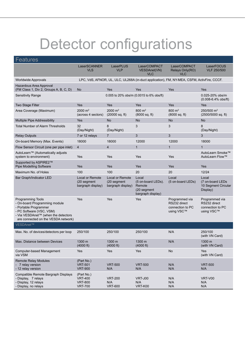## Detector configurations

| <b>Features</b>                                                                                                                                                                              |                                                                                            |                                                     |                                                                           |                                                                  |                                                                  |
|----------------------------------------------------------------------------------------------------------------------------------------------------------------------------------------------|--------------------------------------------------------------------------------------------|-----------------------------------------------------|---------------------------------------------------------------------------|------------------------------------------------------------------|------------------------------------------------------------------|
|                                                                                                                                                                                              | LaserSCANNER<br><b>VLS</b>                                                                 | LaserPLUS<br><b>VLP</b>                             | LaserCOMPACT<br><b>VESDAnet(VN)</b><br><b>VLC</b>                         | LaserCOMPACT<br>Relays Only(RO)<br>VLC                           | LaserFOCUS<br><b>VLF 250/500</b>                                 |
| <b>Worldwide Approvals</b>                                                                                                                                                                   | LPC, VdS, AFNOR, UL, ULC, UL268A (in-duct application), FM, NY-MEA, CSFM, ActivFire, CCCF. |                                                     |                                                                           |                                                                  |                                                                  |
| Hazardous Area Approval<br>(FM Class 1, Div 2, Groups A, B, C, D)                                                                                                                            | <b>No</b>                                                                                  | <b>Yes</b>                                          | Yes                                                                       | Yes                                                              | <b>Yes</b>                                                       |
| <b>Sensitivity Range</b>                                                                                                                                                                     |                                                                                            |                                                     | 0.005 to 20% obs/m (0.0015 to 6% obs/ft)                                  |                                                                  | 0.025-20% obs/m<br>$(0.008 - 6.4\%$ obs/ft)                      |
| Two Stage Filter                                                                                                                                                                             | Yes                                                                                        | <b>Yes</b>                                          | Yes                                                                       | Yes                                                              | <b>Yes</b>                                                       |
| Area Coverage (Maximum)                                                                                                                                                                      | 2000 $m2$<br>(across 4 sectors)                                                            | 2000 $m2$<br>$(20000 \text{ sq. ft})$               | $800 \; \text{m}^2$<br>(8000 sq. ft)                                      | $800 \; \text{m}^2$<br>$(8000 \text{ sq. ft})$                   | 250/500 m <sup>2</sup><br>$(2500/5000 \text{ sq. ft})$           |
| Multiple Pipe Addressibility                                                                                                                                                                 | Yes                                                                                        | <b>No</b>                                           | <b>No</b>                                                                 | <b>No</b>                                                        | No                                                               |
| <b>Total Number of Alarm Thresholds</b>                                                                                                                                                      | 32<br>(Day/Night)                                                                          | 8<br>(Day/Night)                                    | 3                                                                         | 3                                                                | 8<br>(Day/Night)                                                 |
| <b>Relay Outputs</b>                                                                                                                                                                         | 7 or 12 relays                                                                             | $\overline{7}$                                      | $\overline{3}$                                                            | 3                                                                | 3                                                                |
| On-board Memory (Max. Events)                                                                                                                                                                | 18000                                                                                      | 18000                                               | 12000                                                                     | 12000                                                            | 18000                                                            |
| Flow Sensor Circuit (one per pipe inlet)                                                                                                                                                     | $\overline{4}$                                                                             | $\overline{4}$                                      | 1                                                                         | $\mathbf{1}$                                                     | $\mathbf{1}$                                                     |
| AutoLearn™ (Automatically adjusts<br>system to environment)                                                                                                                                  | Yes                                                                                        | Yes                                                 | Yes                                                                       | Yes                                                              | AutoLearn Smoke™<br>AutoLearn Flow™                              |
| Supported by ASPIRE2™<br>Pipe Modelling Software                                                                                                                                             | Yes                                                                                        | Yes                                                 | Yes                                                                       | Yes                                                              | Yes                                                              |
| Maximum No. of Holes                                                                                                                                                                         | 100                                                                                        | 100                                                 | 20                                                                        | 20                                                               | 12/24                                                            |
| Bar Graph/Indicator LED                                                                                                                                                                      | <b>Local or Remote</b><br>(20 segment<br>bargraph display)                                 | Local or Remote<br>(20 segment<br>bargraph display) | Local<br>(5 on-board LEDs).<br>Remote<br>(20 segment<br>bargraph display) | Local<br>(5 on-board LEDs)                                       | Local<br>(7 on-board LEDs<br>10 Segment Circular<br>Display)     |
| <b>Programming Tools</b><br>- On-board Programming module<br>- Portable Programmer<br>- PC Software (VSC, VSM)<br>- Via VESDAnet™ (when the detectors<br>are connected on the VESDA network) | Yes                                                                                        | Yes                                                 | Yes                                                                       | Programmed via<br>RS232 direct<br>connection to PC<br>using VSC™ | Programmed via<br>RS232 direct<br>connection to PC<br>using VSC™ |
| VESDAnet™                                                                                                                                                                                    |                                                                                            |                                                     |                                                                           |                                                                  |                                                                  |
| Max. No. of devices/detectors per loop                                                                                                                                                       | 250/100                                                                                    | 250/100                                             | 250/100                                                                   | N/A                                                              | 250/100<br>(with VN Card)                                        |
| Max. Distance between Devices                                                                                                                                                                | $1300 \text{ m}$<br>(4000 ft)                                                              | 1300 m<br>(4000 ft)                                 | 1300 m<br>(4000 ft)                                                       | N/A                                                              | $1300 \text{ m}$<br>(with VN Card)                               |
| Computer-based Management<br>via VSM                                                                                                                                                         | Yes                                                                                        | Yes                                                 | Yes                                                                       | No                                                               | Yes<br>(with VN Card)                                            |
| <b>Remote Relay Modules</b><br>7 relay version<br>- 12 relay version                                                                                                                         | (Part No.)<br><b>VRT-501</b><br><b>VRT-900</b>                                             | <b>VRT-500</b><br>N/A                               | <b>VRT-500</b><br>N/A                                                     | N/A<br>N/A                                                       | <b>VRT-500</b><br>N/A                                            |
| Compatible Remote Bargraph Displays<br>- Display, 7 relays<br>- Display, 12 relays<br>- Display, no relays                                                                                   | (Part No.)<br><b>VRT-400</b><br><b>VRT-800</b><br><b>VRT-700</b>                           | <b>VRT-200</b><br>N/A<br><b>VRT-600</b>             | VRT-J00<br>N/A<br><b>VRT-K00</b>                                          | N/A<br>N/A<br>N/A                                                | VRT-V00<br>N/A<br>N/A                                            |